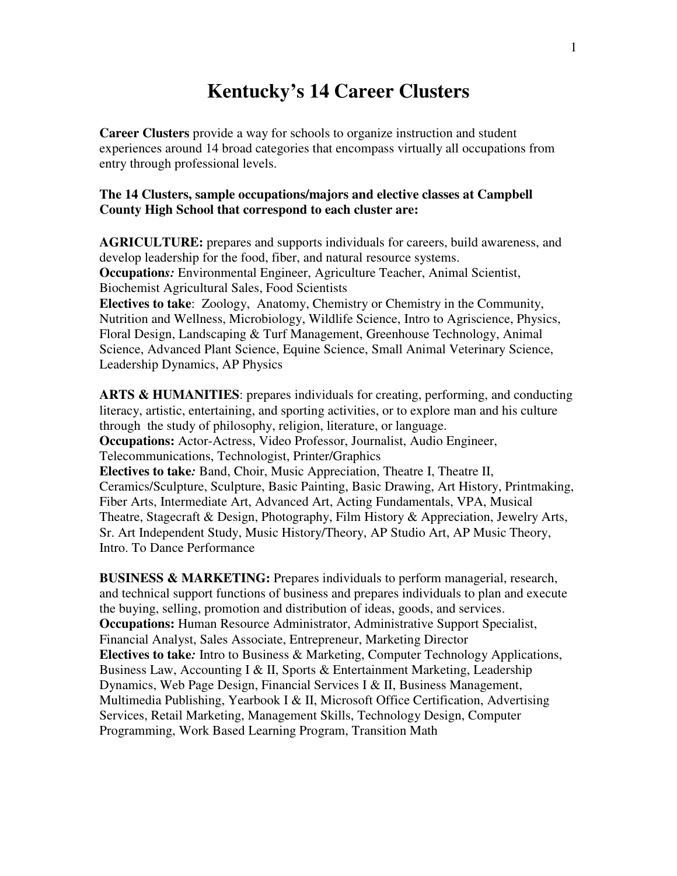## **Kentucky's 14 Career Clusters**

**Career Clusters** provide a way for schools to organize instruction and student experiences around 14 broad categories that encompass virtually all occupations from entry through professional levels.

## **The 14 Clusters, sample occupations/majors and elective classes at Campbell County High School that correspond to each cluster are:**

**AGRICULTURE:** prepares and supports individuals for careers, build awareness, and develop leadership for the food, fiber, and natural resource systems. **Occupation***s:* Environmental Engineer, Agriculture Teacher, Animal Scientist, Biochemist Agricultural Sales, Food Scientists **Electives to take**: Zoology, Anatomy, Chemistry or Chemistry in the Community,

Nutrition and Wellness, Microbiology, Wildlife Science, Intro to Agriscience, Physics, Floral Design, Landscaping & Turf Management, Greenhouse Technology, Animal Science, Advanced Plant Science, Equine Science, Small Animal Veterinary Science, Leadership Dynamics, AP Physics

**ARTS & HUMANITIES**: prepares individuals for creating, performing, and conducting literacy, artistic, entertaining, and sporting activities, or to explore man and his culture through the study of philosophy, religion, literature, or language. **Occupations:** Actor-Actress, Video Professor, Journalist, Audio Engineer, Telecommunications, Technologist, Printer/Graphics **Electives to take***:* Band, Choir, Music Appreciation, Theatre I, Theatre II, Ceramics/Sculpture, Sculpture, Basic Painting, Basic Drawing, Art History, Printmaking, Fiber Arts, Intermediate Art, Advanced Art, Acting Fundamentals, VPA, Musical Theatre, Stagecraft & Design, Photography, Film History & Appreciation, Jewelry Arts, Sr. Art Independent Study, Music History/Theory, AP Studio Art, AP Music Theory, Intro. To Dance Performance

**BUSINESS & MARKETING:** Prepares individuals to perform managerial, research, and technical support functions of business and prepares individuals to plan and execute the buying, selling, promotion and distribution of ideas, goods, and services. **Occupations:** Human Resource Administrator, Administrative Support Specialist, Financial Analyst, Sales Associate, Entrepreneur, Marketing Director **Electives to take***:* Intro to Business & Marketing, Computer Technology Applications, Business Law, Accounting I & II, Sports & Entertainment Marketing, Leadership Dynamics, Web Page Design, Financial Services I & II, Business Management, Multimedia Publishing, Yearbook I & II, Microsoft Office Certification, Advertising Services, Retail Marketing, Management Skills, Technology Design, Computer Programming, Work Based Learning Program, Transition Math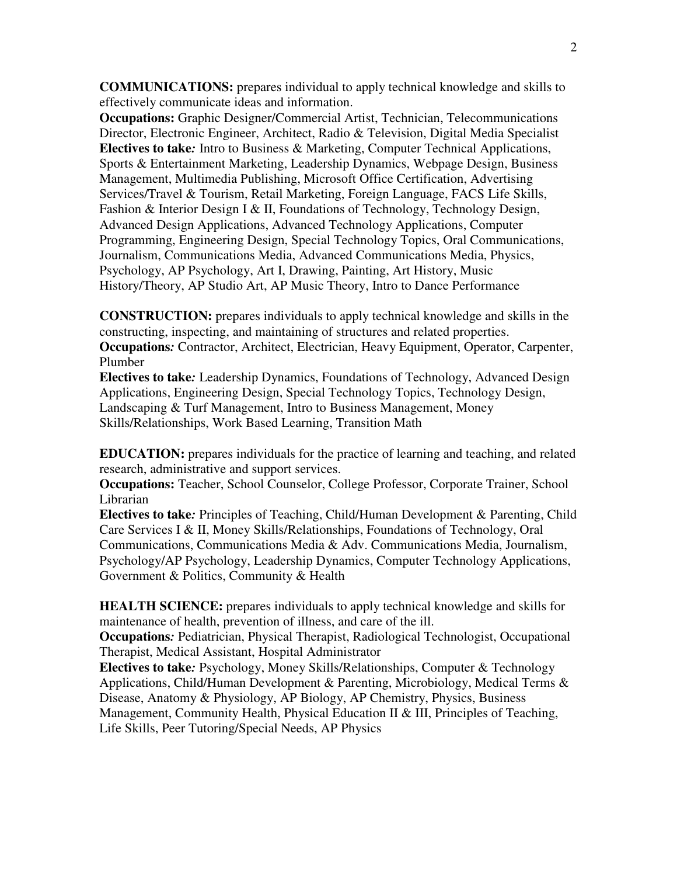**COMMUNICATIONS:** prepares individual to apply technical knowledge and skills to effectively communicate ideas and information.

**Occupations:** Graphic Designer/Commercial Artist, Technician, Telecommunications Director, Electronic Engineer, Architect, Radio & Television, Digital Media Specialist **Electives to take***:* Intro to Business & Marketing, Computer Technical Applications, Sports & Entertainment Marketing, Leadership Dynamics, Webpage Design, Business Management, Multimedia Publishing, Microsoft Office Certification, Advertising Services/Travel & Tourism, Retail Marketing, Foreign Language, FACS Life Skills, Fashion & Interior Design I & II, Foundations of Technology, Technology Design, Advanced Design Applications, Advanced Technology Applications, Computer Programming, Engineering Design, Special Technology Topics, Oral Communications, Journalism, Communications Media, Advanced Communications Media, Physics, Psychology, AP Psychology, Art I, Drawing, Painting, Art History, Music History/Theory, AP Studio Art, AP Music Theory, Intro to Dance Performance

**CONSTRUCTION:** prepares individuals to apply technical knowledge and skills in the constructing, inspecting, and maintaining of structures and related properties. **Occupations***:* Contractor, Architect, Electrician, Heavy Equipment, Operator, Carpenter, Plumber

**Electives to take***:* Leadership Dynamics, Foundations of Technology, Advanced Design Applications, Engineering Design, Special Technology Topics, Technology Design, Landscaping & Turf Management, Intro to Business Management, Money Skills/Relationships, Work Based Learning, Transition Math

**EDUCATION:** prepares individuals for the practice of learning and teaching, and related research, administrative and support services.

**Occupations:** Teacher, School Counselor, College Professor, Corporate Trainer, School Librarian

**Electives to take***:* Principles of Teaching, Child/Human Development & Parenting, Child Care Services I & II, Money Skills/Relationships, Foundations of Technology, Oral Communications, Communications Media & Adv. Communications Media, Journalism, Psychology/AP Psychology, Leadership Dynamics, Computer Technology Applications, Government & Politics, Community & Health

**HEALTH SCIENCE:** prepares individuals to apply technical knowledge and skills for maintenance of health, prevention of illness, and care of the ill.

**Occupations***:* Pediatrician, Physical Therapist, Radiological Technologist, Occupational Therapist, Medical Assistant, Hospital Administrator

**Electives to take***:* Psychology, Money Skills/Relationships, Computer & Technology Applications, Child/Human Development & Parenting, Microbiology, Medical Terms & Disease, Anatomy & Physiology, AP Biology, AP Chemistry, Physics, Business Management, Community Health, Physical Education II & III, Principles of Teaching, Life Skills, Peer Tutoring/Special Needs, AP Physics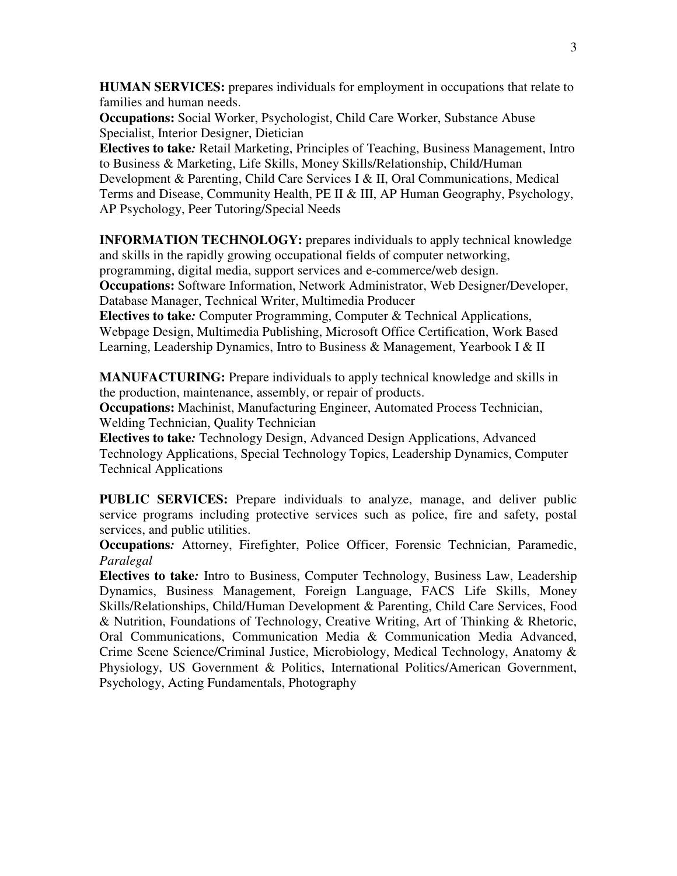**HUMAN SERVICES:** prepares individuals for employment in occupations that relate to families and human needs.

**Occupations:** Social Worker, Psychologist, Child Care Worker, Substance Abuse Specialist, Interior Designer, Dietician

**Electives to take***:* Retail Marketing, Principles of Teaching, Business Management, Intro to Business & Marketing, Life Skills, Money Skills/Relationship, Child/Human Development & Parenting, Child Care Services I & II, Oral Communications, Medical Terms and Disease, Community Health, PE II & III, AP Human Geography, Psychology, AP Psychology, Peer Tutoring/Special Needs

**INFORMATION TECHNOLOGY:** prepares individuals to apply technical knowledge and skills in the rapidly growing occupational fields of computer networking, programming, digital media, support services and e-commerce/web design. **Occupations:** Software Information, Network Administrator, Web Designer/Developer, Database Manager, Technical Writer, Multimedia Producer

**Electives to take***:* Computer Programming, Computer & Technical Applications, Webpage Design, Multimedia Publishing, Microsoft Office Certification, Work Based Learning, Leadership Dynamics, Intro to Business & Management, Yearbook I & II

**MANUFACTURING:** Prepare individuals to apply technical knowledge and skills in the production, maintenance, assembly, or repair of products.

**Occupations:** Machinist, Manufacturing Engineer, Automated Process Technician, Welding Technician, Quality Technician

**Electives to take***:* Technology Design, Advanced Design Applications, Advanced Technology Applications, Special Technology Topics, Leadership Dynamics, Computer Technical Applications

**PUBLIC SERVICES:** Prepare individuals to analyze, manage, and deliver public service programs including protective services such as police, fire and safety, postal services, and public utilities.

**Occupations***:* Attorney, Firefighter, Police Officer, Forensic Technician, Paramedic, *Paralegal* 

**Electives to take***:* Intro to Business, Computer Technology, Business Law, Leadership Dynamics, Business Management, Foreign Language, FACS Life Skills, Money Skills/Relationships, Child/Human Development & Parenting, Child Care Services, Food & Nutrition, Foundations of Technology, Creative Writing, Art of Thinking & Rhetoric, Oral Communications, Communication Media & Communication Media Advanced, Crime Scene Science/Criminal Justice, Microbiology, Medical Technology, Anatomy & Physiology, US Government & Politics, International Politics/American Government, Psychology, Acting Fundamentals, Photography